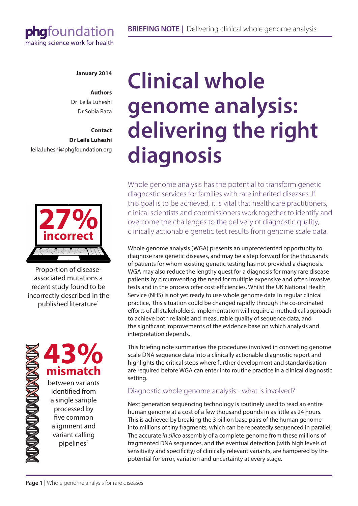# phgfoundation making science work for health

### **January 2014**

**Authors** Dr Leila Luheshi Dr Sobia Raza

# **Contact Dr Leila Luheshi** leila.luheshi@phgfoundation.org



Proportion of diseaseassociated mutations a recent study found to be incorrectly described in the published literature<sup>1</sup>

> **43% mismatch** between variants identified from a single sample processed by five common alignment and variant calling pipelines<sup>2</sup>

**TO THE TABLE TO THE TABLE** 

# **Clinical whole genome analysis: delivering the right diagnosis**

Whole genome analysis has the potential to transform genetic diagnostic services for families with rare inherited diseases. If this goal is to be achieved, it is vital that healthcare practitioners, clinical scientists and commissioners work together to identify and overcome the challenges to the delivery of diagnostic quality, clinically actionable genetic test results from genome scale data.

Whole genome analysis (WGA) presents an unprecedented opportunity to diagnose rare genetic diseases, and may be a step forward for the thousands of patients for whom existing genetic testing has not provided a diagnosis. WGA may also reduce the lengthy quest for a diagnosis for many rare disease patients by circumventing the need for multiple expensive and often invasive tests and in the process offer cost efficiencies. Whilst the UK National Health Service (NHS) is not yet ready to use whole genome data in regular clinical practice, this situation could be changed rapidly through the co-ordinated efforts of all stakeholders. Implementation will require a methodical approach to achieve both reliable and measurable quality of sequence data, and the significant improvements of the evidence base on which analysis and interpretation depends.

This briefing note summarises the procedures involved in converting genome scale DNA sequence data into a clinically actionable diagnostic report and highlights the critical steps where further development and standardisation are required before WGA can enter into routine practice in a clinical diagnostic setting.

# Diagnostic whole genome analysis - what is involved?

Next generation sequencing technology is routinely used to read an entire human genome at a cost of a few thousand pounds in as little as 24 hours. This is achieved by breaking the 3 billion base pairs of the human genome into millions of tiny fragments, which can be repeatedly sequenced in parallel. The accurate *in silico* assembly of a complete genome from these millions of fragmented DNA sequences, and the eventual detection (with high levels of sensitivity and specificity) of clinically relevant variants, are hampered by the potential for error, variation and uncertainty at every stage.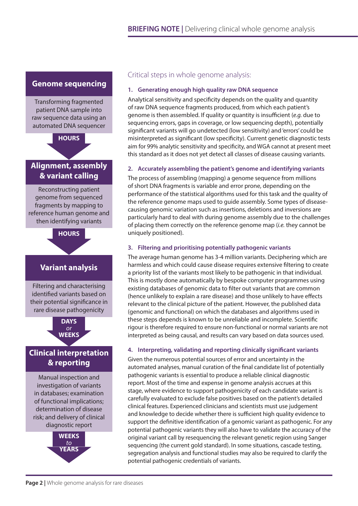# **Genome sequencing**

Transforming fragmented patient DNA sample into raw sequence data using an automated DNA sequencer



# **Alignment, assembly & variant calling**

Reconstructing patient genome from sequenced fragments by mapping to reference human genome and then identifying variants



# **Variant analysis**

Filtering and characterising identified variants based on their potential significance in rare disease pathogenicity



# **Clinical interpretation & reporting**

Manual inspection and investigation of variants in databases; examination of functional implications; determination of disease risk; and delivery of clinical diagnostic report



# Critical steps in whole genome analysis:

### **1. Generating enough high quality raw DNA sequence**

Analytical sensitivity and specificity depends on the quality and quantity of raw DNA sequence fragments produced, from which each patient's genome is then assembled. If quality or quantity is insufficient (*e.g.* due to sequencing errors, gaps in coverage, or low sequencing depth), potentially significant variants will go undetected (low sensitivity) and 'errors' could be misinterpreted as significant (low specificity). Current genetic diagnostic tests aim for 99% analytic sensitivity and specificity, and WGA cannot at present meet this standard as it does not yet detect all classes of disease causing variants.

# **2. Accurately assembling the patient's genome and identifying variants**

The process of assembling (mapping) a genome sequence from millions of short DNA fragments is variable and error prone, depending on the performance of the statistical algorithms used for this task and the quality of the reference genome maps used to guide assembly. Some types of diseasecausing genomic variation such as insertions, deletions and inversions are particularly hard to deal with during genome assembly due to the challenges of placing them correctly on the reference genome map (*i.e.* they cannot be uniquely positioned).

# **3. Filtering and prioritising potentially pathogenic variants**

The average human genome has 3-4 million variants. Deciphering which are harmless and which could cause disease requires extensive filtering to create a priority list of the variants most likely to be pathogenic in that individual. This is mostly done automatically by bespoke computer programmes using existing databases of genomic data to filter out variants that are common (hence unlikely to explain a rare disease) and those unlikely to have effects relevant to the clinical picture of the patient. However, the published data (genomic and functional) on which the databases and algorithms used in these steps depends is known to be unreliable and incomplete. Scientific rigour is therefore required to ensure non-functional or normal variants are not interpreted as being causal, and results can vary based on data sources used.

### **4. Interpreting, validating and reporting clinically significant variants**

Given the numerous potential sources of error and uncertainty in the automated analyses, manual curation of the final candidate list of potentially pathogenic variants is essential to produce a reliable clinical diagnostic report. Most of the time and expense in genome analysis accrues at this stage, where evidence to support pathogenicity of each candidate variant is carefully evaluated to exclude false positives based on the patient's detailed clinical features. Experienced clinicians and scientists must use judgement and knowledge to decide whether there is sufficient high quality evidence to support the definitive identification of a genomic variant as pathogenic. For any potential pathogenic variants they will also have to validate the accuracy of the original variant call by resequencing the relevant genetic region using Sanger sequencing (the current gold standard). In some situations, cascade testing, segregation analysis and functional studies may also be required to clarify the potential pathogenic credentials of variants.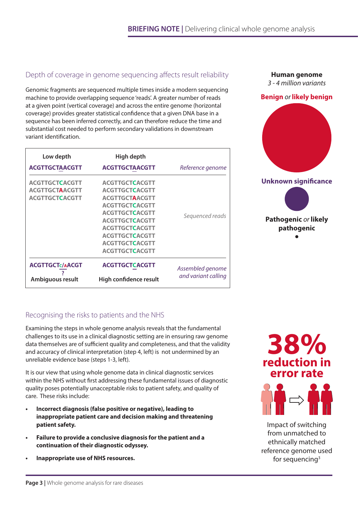# Depth of coverage in genome sequencing affects result reliability

Genomic fragments are sequenced multiple times inside a modern sequencing machine to provide overlapping sequence 'reads'. A greater number of reads at a given point (vertical coverage) and across the entire genome (horizontal coverage) provides greater statistical confidence that a given DNA base in a sequence has been inferred correctly, and can therefore reduce the time and substantial cost needed to perform secondary validations in downstream variant identification.

| Low depth              | High depth             |                     |
|------------------------|------------------------|---------------------|
| <b>ACGTTGCTAACGTT</b>  | <b>ACGTTGCTAACGTT</b>  | Reference genome    |
| <b>ACGTTGCTCACGTT</b>  | <b>ACGTTGCTCACGTT</b>  |                     |
| <b>ACGTTGCTAACGTT</b>  | <b>ACGTTGCTCACGTT</b>  |                     |
| <b>ACGTTGCTCACGTT</b>  | <b>ACGTTGCTAACGTT</b>  | Sequenced reads     |
|                        | <b>ACGTTGCTCACGTT</b>  |                     |
|                        | <b>ACGTTGCTCACGTT</b>  |                     |
|                        | <b>ACGTTGCTCACGTT</b>  |                     |
|                        | <b>ACGTTGCTCACGTT</b>  |                     |
|                        | <b>ACGTTGCTCACGTT</b>  |                     |
|                        | <b>ACGTTGCTCACGTT</b>  |                     |
|                        | <b>ACGTTGCTCACGTT</b>  |                     |
| <b>ACGTTGCTc/AACGT</b> | <b>ACGTTGCTCACGTT</b>  | Assembled genome    |
| Ambiguous result       | High confidence result | and variant calling |

# **Unknown significance** *3 - 4 million variants* **Benign** *or* **likely benign Pathogenic** *or* **likely pathogenic**

**Human genome**

# Recognising the risks to patients and the NHS

Examining the steps in whole genome analysis reveals that the fundamental challenges to its use in a clinical diagnostic setting are in ensuring raw genome data themselves are of sufficient quality and completeness, and that the validity and accuracy of clinical interpretation (step 4, left) is not undermined by an unreliable evidence base (steps 1-3, left).

It is our view that using whole genome data in clinical diagnostic services within the NHS without first addressing these fundamental issues of diagnostic quality poses potentially unacceptable risks to patient safety, and quality of care. These risks include:

- **Incorrect diagnosis (false positive or negative), leading to inappropriate patient care and decision making and threatening patient safety.**
- **• Failure to provide a conclusive diagnosis for the patient and a continuation of their diagnostic odyssey.**
- **• Inappropriate use of NHS resources.**

**reduction in 38% error rate**



Impact of switching from unmatched to ethnically matched reference genome used for sequencing $3$